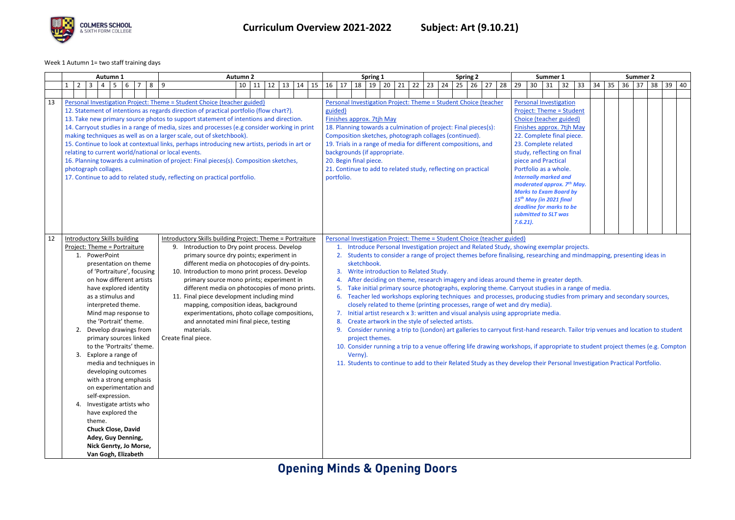

Week 1 Autumn 1= two staff training days

|    | Autumn 1<br><b>Autumn 2</b>                                                                                                                                                                                                                                                                                                                                                                                                                                                                                                                                                                                                                                                                                                                                                                                                                                                                                                                                                                                                                                                                                                                                                                                                                                                             |                                           |        | Spring 1<br><b>Spring 2</b> |                                                                                                                                                                                                                                                                                                                                                                                                                                                 |         |                                |    |                                                                                                                                                                                                                                                                                                                                                                                                                                                                                                                                                                                                                                                                                                                                                                                                                                                                                                                                                                                                                                                                                                                                                                                                                                                                                        |    | Summer 1 |                                                                                                                                                                                                                                                                                                                                                                                                                                                                                  |    |    | <b>Summer 2</b> |          |    |    |              |    |    |    |    |    |    |    |    |    |    |    |    |    |    |
|----|-----------------------------------------------------------------------------------------------------------------------------------------------------------------------------------------------------------------------------------------------------------------------------------------------------------------------------------------------------------------------------------------------------------------------------------------------------------------------------------------------------------------------------------------------------------------------------------------------------------------------------------------------------------------------------------------------------------------------------------------------------------------------------------------------------------------------------------------------------------------------------------------------------------------------------------------------------------------------------------------------------------------------------------------------------------------------------------------------------------------------------------------------------------------------------------------------------------------------------------------------------------------------------------------|-------------------------------------------|--------|-----------------------------|-------------------------------------------------------------------------------------------------------------------------------------------------------------------------------------------------------------------------------------------------------------------------------------------------------------------------------------------------------------------------------------------------------------------------------------------------|---------|--------------------------------|----|----------------------------------------------------------------------------------------------------------------------------------------------------------------------------------------------------------------------------------------------------------------------------------------------------------------------------------------------------------------------------------------------------------------------------------------------------------------------------------------------------------------------------------------------------------------------------------------------------------------------------------------------------------------------------------------------------------------------------------------------------------------------------------------------------------------------------------------------------------------------------------------------------------------------------------------------------------------------------------------------------------------------------------------------------------------------------------------------------------------------------------------------------------------------------------------------------------------------------------------------------------------------------------------|----|----------|----------------------------------------------------------------------------------------------------------------------------------------------------------------------------------------------------------------------------------------------------------------------------------------------------------------------------------------------------------------------------------------------------------------------------------------------------------------------------------|----|----|-----------------|----------|----|----|--------------|----|----|----|----|----|----|----|----|----|----|----|----|----|----|
|    | $\overline{2}$                                                                                                                                                                                                                                                                                                                                                                                                                                                                                                                                                                                                                                                                                                                                                                                                                                                                                                                                                                                                                                                                                                                                                                                                                                                                          | $\overline{\mathbf{3}}$<br>$\overline{4}$ | 5<br>6 | $\overline{7}$<br>8         | 9                                                                                                                                                                                                                                                                                                                                                                                                                                               |         | $10$ 11                        | 12 | 13                                                                                                                                                                                                                                                                                                                                                                                                                                                                                                                                                                                                                                                                                                                                                                                                                                                                                                                                                                                                                                                                                                                                                                                                                                                                                     | 14 | 15       | 17<br>16                                                                                                                                                                                                                                                                                                                                                                                                                                                                         | 18 | 19 | 20              | 21<br>22 | 23 | 24 | $25 \mid 26$ | 27 | 28 | 29 | 30 | 31 | 32 | 33 | 34 | 35 | 36 | 37 | 38 | 39 | 40 |
|    |                                                                                                                                                                                                                                                                                                                                                                                                                                                                                                                                                                                                                                                                                                                                                                                                                                                                                                                                                                                                                                                                                                                                                                                                                                                                                         |                                           |        |                             |                                                                                                                                                                                                                                                                                                                                                                                                                                                 |         |                                |    |                                                                                                                                                                                                                                                                                                                                                                                                                                                                                                                                                                                                                                                                                                                                                                                                                                                                                                                                                                                                                                                                                                                                                                                                                                                                                        |    |          |                                                                                                                                                                                                                                                                                                                                                                                                                                                                                  |    |    |                 |          |    |    |              |    |    |    |    |    |    |    |    |    |    |    |    |    |    |
| 13 | Personal Investigation Project: Theme = Student Choice (teacher guided)<br>12. Statement of intentions as regards direction of practical portfolio (flow chart?).<br>13. Take new primary source photos to support statement of intentions and direction.<br>14. Carryout studies in a range of media, sizes and processes (e.g consider working in print<br>making techniques as well as on a larger scale, out of sketchbook).<br>15. Continue to look at contextual links, perhaps introducing new artists, periods in art or<br>relating to current world/national or local events.<br>16. Planning towards a culmination of project: Final pieces(s). Composition sketches,<br>photograph collages.<br>17. Continue to add to related study, reflecting on practical portfolio.                                                                                                                                                                                                                                                                                                                                                                                                                                                                                                    |                                           |        |                             | Personal Investigation Project: Theme = Student Choice (teacher<br>guided)<br>Finishes approx. 7tjh May<br>18. Planning towards a culmination of project: Final pieces(s):<br>Composition sketches, photograph collages (continued).<br>19. Trials in a range of media for different compositions, and<br>backgrounds (if appropriate.<br>20. Begin final piece.<br>21. Continue to add to related study, reflecting on practical<br>portfolio. |         |                                |    |                                                                                                                                                                                                                                                                                                                                                                                                                                                                                                                                                                                                                                                                                                                                                                                                                                                                                                                                                                                                                                                                                                                                                                                                                                                                                        |    |          | <b>Personal Investigation</b><br><b>Project: Theme = Student</b><br>Choice (teacher guided)<br>Finishes approx. 7tjh May<br>22. Complete final piece.<br>23. Complete related<br>study, reflecting on final<br>piece and Practical<br>Portfolio as a whole.<br><b>Internally marked and</b><br>moderated approx. 7 <sup>th</sup> May.<br><b>Marks to Exam Board by</b><br>15 <sup>th</sup> May (in 2021 final<br>deadline for marks to be<br>submitted to SLT was<br>$7.6.21$ ). |    |    |                 |          |    |    |              |    |    |    |    |    |    |    |    |    |    |    |    |    |    |
| 12 | <b>Introductory Skills building</b><br>Introductory Skills building Project: Theme = Portraiture<br>Project: Theme = Portraiture<br>9. Introduction to Dry point process. Develop<br>1. PowerPoint<br>primary source dry points; experiment in<br>different media on photocopies of dry-points.<br>presentation on theme<br>of 'Portraiture', focusing<br>10. Introduction to mono print process. Develop<br>on how different artists<br>primary source mono prints; experiment in<br>different media on photocopies of mono prints.<br>have explored identity<br>11. Final piece development including mind<br>as a stimulus and<br>mapping, composition ideas, background<br>interpreted theme.<br>experimentations, photo collage compositions,<br>Mind map response to<br>the 'Portrait' theme.<br>and annotated mini final piece, testing<br>Develop drawings from<br>materials.<br>Create final piece.<br>primary sources linked<br>to the 'Portraits' theme.<br>3. Explore a range of<br>media and techniques in<br>developing outcomes<br>with a strong emphasis<br>on experimentation and<br>self-expression.<br>4. Investigate artists who<br>have explored the<br>theme.<br><b>Chuck Close, David</b><br>Adey, Guy Denning,<br>Nick Genrty, Jo Morse,<br>Van Gogh, Elizabeth |                                           |        |                             | 2.                                                                                                                                                                                                                                                                                                                                                                                                                                              | Verny). | sketchbook.<br>project themes. |    | Personal Investigation Project: Theme = Student Choice (teacher guided)<br>1. Introduce Personal Investigation project and Related Study, showing exemplar projects.<br>Students to consider a range of project themes before finalising, researching and mindmapping, presenting ideas in<br>3. Write introduction to Related Study.<br>4. After deciding on theme, research imagery and ideas around theme in greater depth.<br>5. Take initial primary source photographs, exploring theme. Carryout studies in a range of media.<br>6. Teacher led workshops exploring techniques and processes, producing studies from primary and secondary sources,<br>closely related to theme (printing processes, range of wet and dry media).<br>7. Initial artist research x 3: written and visual analysis using appropriate media.<br>8. Create artwork in the style of selected artists.<br>Consider running a trip to (London) art galleries to carryout first-hand research. Tailor trip venues and location to student<br>10. Consider running a trip to a venue offering life drawing workshops, if appropriate to student project themes (e.g. Compton<br>11. Students to continue to add to their Related Study as they develop their Personal Investigation Practical Portfolio. |    |          |                                                                                                                                                                                                                                                                                                                                                                                                                                                                                  |    |    |                 |          |    |    |              |    |    |    |    |    |    |    |    |    |    |    |    |    |    |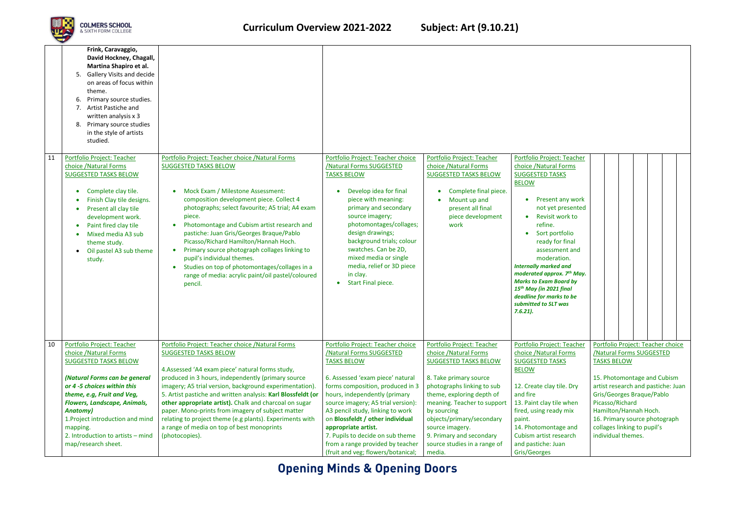

|    | Frink, Caravaggio,<br>David Hockney, Chagall,<br>Martina Shapiro et al.<br><b>Gallery Visits and decide</b><br>-5.<br>on areas of focus within<br>theme.<br>Primary source studies.<br>6.<br>Artist Pastiche and<br>written analysis x 3<br>Primary source studies<br>8.<br>in the style of artists<br>studied.      |                                                                                                                                                                                                                                                                                                                                                                                                                                                                                                                                                                      |                                                                                                                                                                                                                                                                                                                                                                                     |                                                                                                                                                                                               |                                                                                                                                                                                                                                                                                                                                                                                                                                                                  |                                                                                                                                                                 |  |  |
|----|----------------------------------------------------------------------------------------------------------------------------------------------------------------------------------------------------------------------------------------------------------------------------------------------------------------------|----------------------------------------------------------------------------------------------------------------------------------------------------------------------------------------------------------------------------------------------------------------------------------------------------------------------------------------------------------------------------------------------------------------------------------------------------------------------------------------------------------------------------------------------------------------------|-------------------------------------------------------------------------------------------------------------------------------------------------------------------------------------------------------------------------------------------------------------------------------------------------------------------------------------------------------------------------------------|-----------------------------------------------------------------------------------------------------------------------------------------------------------------------------------------------|------------------------------------------------------------------------------------------------------------------------------------------------------------------------------------------------------------------------------------------------------------------------------------------------------------------------------------------------------------------------------------------------------------------------------------------------------------------|-----------------------------------------------------------------------------------------------------------------------------------------------------------------|--|--|
| 11 | Portfolio Project: Teacher<br>choice / Natural Forms<br><b>SUGGESTED TASKS BELOW</b><br>Complete clay tile.<br>Finish Clay tile designs.<br>Present all clay tile<br>development work.<br>Paint fired clay tile<br>$\bullet$<br>Mixed media A3 sub<br>theme study.<br>Oil pastel A3 sub theme<br>$\bullet$<br>study. | Portfolio Project: Teacher choice / Natural Forms<br><b>SUGGESTED TASKS BELOW</b><br>Mock Exam / Milestone Assessment:<br>composition development piece. Collect 4<br>photographs; select favourite; A5 trial; A4 exam<br>piece.<br>Photomontage and Cubism artist research and<br>pastiche: Juan Gris/Georges Braque/Pablo<br>Picasso/Richard Hamilton/Hannah Hoch.<br>Primary source photograph collages linking to<br>pupil's individual themes.<br>Studies on top of photomontages/collages in a<br>range of media: acrylic paint/oil pastel/coloured<br>pencil. | Portfolio Project: Teacher choice<br>/Natural Forms SUGGESTED<br><b>TASKS BELOW</b><br>Develop idea for final<br>piece with meaning:<br>primary and secondary<br>source imagery;<br>photomontages/collages;<br>design drawings;<br>background trials; colour<br>swatches. Can be 2D,<br>mixed media or single<br>media, relief or 3D piece<br>in clay.<br><b>Start Final piece.</b> | Portfolio Project: Teacher<br>choice / Natural Forms<br><b>SUGGESTED TASKS BELOW</b><br>Complete final piece.<br>Mount up and<br>present all final<br>piece development<br>work               | Portfolio Project: Teacher<br>choice / Natural Forms<br><b>SUGGESTED TASKS</b><br><b>BELOW</b><br>Present any work<br>not yet presented<br>Revisit work to<br>refine.<br>Sort portfolio<br>ready for final<br>assessment and<br>moderation.<br><b>Internally marked and</b><br>moderated approx. 7 <sup>th</sup> May.<br><b>Marks to Exam Board by</b><br>15 <sup>th</sup> May (in 2021 final<br>deadline for marks to be<br>submitted to SLT was<br>$7.6.21$ ). |                                                                                                                                                                 |  |  |
| 10 | Portfolio Project: Teacher<br>choice / Natural Forms<br><b>SUGGESTED TASKS BELOW</b><br>(Natural Forms can be general<br>or 4 -5 choices within this                                                                                                                                                                 | Portfolio Project: Teacher choice /Natural Forms<br><b>SUGGESTED TASKS BELOW</b><br>4. Assessed 'A4 exam piece' natural forms study,<br>produced in 3 hours, independently (primary source<br>imagery; A5 trial version, background experimentation).                                                                                                                                                                                                                                                                                                                | Portfolio Project: Teacher choice<br>/Natural Forms SUGGESTED<br><b>TASKS BELOW</b><br>6. Assessed 'exam piece' natural<br>forms composition, produced in 3                                                                                                                                                                                                                         | Portfolio Project: Teacher<br>choice / Natural Forms<br><b>SUGGESTED TASKS BELOW</b><br>8. Take primary source<br>photographs linking to sub                                                  | Portfolio Project: Teacher<br>choice / Natural Forms<br><b>SUGGESTED TASKS</b><br><b>BELOW</b><br>12. Create clay tile. Dry                                                                                                                                                                                                                                                                                                                                      | Portfolio Project: Teacher choice<br><b>/Natural Forms SUGGESTED</b><br><b>TASKS BELOW</b><br>15. Photomontage and Cubism<br>artist research and pastiche: Juan |  |  |
|    | theme, e.g, Fruit and Veg,<br><b>Flowers, Landscape, Animals,</b><br><b>Anatomy</b> )<br>1. Project introduction and mind<br>mapping.<br>2. Introduction to artists - mind<br>map/research sheet.                                                                                                                    | 5. Artist pastiche and written analysis: Karl Blossfeldt (or<br>other appropriate artist). Chalk and charcoal on sugar<br>paper. Mono-prints from imagery of subject matter<br>relating to project theme (e.g plants). Experiments with<br>a range of media on top of best monoprints<br>(photocopies).                                                                                                                                                                                                                                                              | hours, independently (primary<br>source imagery; A5 trial version):<br>A3 pencil study, linking to work<br>on Blossfeldt / other individual<br>appropriate artist.<br>7. Pupils to decide on sub theme<br>from a range provided by teacher<br>(fruit and veg; flowers/botanical;                                                                                                    | theme, exploring depth of<br>meaning. Teacher to support<br>by sourcing<br>objects/primary/secondary<br>source imagery.<br>9. Primary and secondary<br>source studies in a range of<br>media. | and fire<br>13. Paint clay tile when<br>fired, using ready mix<br>paint.<br>14. Photomontage and<br>Cubism artist research<br>and pastiche: Juan<br>Gris/Georges                                                                                                                                                                                                                                                                                                 | Gris/Georges Braque/Pablo<br>Picasso/Richard<br>Hamilton/Hannah Hoch.<br>16. Primary source photograph<br>collages linking to pupil's<br>individual themes.     |  |  |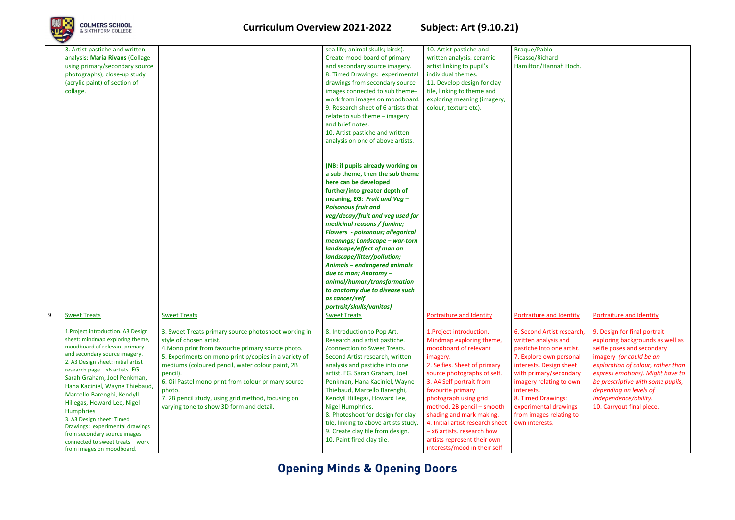

### **Curriculum Overview 2021-2022 Subject: Art (9.10.21)**

| 3. Artist pastiche and written<br>analysis: Maria Rivans (Collage<br>using primary/secondary source<br>photographs); close-up study<br>(acrylic paint) of section of<br>collage.                                                                                                                                                                                                                                                                                                                                                                    |                                                                                                                                                                                                                                                                                                                                                                                                                                                          | sea life; animal skulls; birds).<br>Create mood board of primary<br>and secondary source imagery.<br>8. Timed Drawings: experimental<br>drawings from secondary source<br>images connected to sub theme-<br>work from images on moodboard.<br>9. Research sheet of 6 artists that<br>relate to sub theme - imagery<br>and brief notes.<br>10. Artist pastiche and written<br>analysis on one of above artists.                                                                                                                                                                           | 10. Artist pastiche and<br>written analysis: ceramic<br>artist linking to pupil's<br>individual themes.<br>11. Develop design for clay<br>tile, linking to theme and<br>exploring meaning (imagery,<br>colour, texture etc).                                                                                                                                                                                                                                       | Braque/Pablo<br>Picasso/Richard<br>Hamilton/Hannah Hoch.                                                                                                                                                                                                                                                                                |                                                                                                                                                                                                                                                                                                                                                      |
|-----------------------------------------------------------------------------------------------------------------------------------------------------------------------------------------------------------------------------------------------------------------------------------------------------------------------------------------------------------------------------------------------------------------------------------------------------------------------------------------------------------------------------------------------------|----------------------------------------------------------------------------------------------------------------------------------------------------------------------------------------------------------------------------------------------------------------------------------------------------------------------------------------------------------------------------------------------------------------------------------------------------------|------------------------------------------------------------------------------------------------------------------------------------------------------------------------------------------------------------------------------------------------------------------------------------------------------------------------------------------------------------------------------------------------------------------------------------------------------------------------------------------------------------------------------------------------------------------------------------------|--------------------------------------------------------------------------------------------------------------------------------------------------------------------------------------------------------------------------------------------------------------------------------------------------------------------------------------------------------------------------------------------------------------------------------------------------------------------|-----------------------------------------------------------------------------------------------------------------------------------------------------------------------------------------------------------------------------------------------------------------------------------------------------------------------------------------|------------------------------------------------------------------------------------------------------------------------------------------------------------------------------------------------------------------------------------------------------------------------------------------------------------------------------------------------------|
|                                                                                                                                                                                                                                                                                                                                                                                                                                                                                                                                                     |                                                                                                                                                                                                                                                                                                                                                                                                                                                          | (NB: if pupils already working on<br>a sub theme, then the sub theme<br>here can be developed<br>further/into greater depth of<br>meaning, EG: Fruit and Veg -<br><b>Poisonous fruit and</b><br>veg/decay/fruit and veg used for<br>medicinal reasons / famine;<br><b>Flowers - poisonous; allegorical</b><br>meanings; Landscape - war-torn<br>landscape/effect of man on<br>landscape/litter/pollution;<br><b>Animals - endangered animals</b><br>due to man; Anatomy -<br>animal/human/transformation<br>to anatomy due to disease such<br>as cancer/self<br>portrait/skulls/vanitas) |                                                                                                                                                                                                                                                                                                                                                                                                                                                                    |                                                                                                                                                                                                                                                                                                                                         |                                                                                                                                                                                                                                                                                                                                                      |
| <b>Sweet Treats</b><br>1. Project introduction. A3 Design<br>sheet: mindmap exploring theme,<br>moodboard of relevant primary<br>and secondary source imagery.<br>2. A3 Design sheet: initial artist<br>research page - x6 artists. EG.<br>Sarah Graham, Joel Penkman,<br>Hana Kaciniel, Wayne Thiebaud,<br>Marcello Barenghi, Kendyll<br>Hillegas, Howard Lee, Nigel<br>Humphries<br>3. A3 Design sheet: Timed<br>Drawings: experimental drawings<br>from secondary source images<br>connected to sweet treats - work<br>from images on moodboard. | <b>Sweet Treats</b><br>3. Sweet Treats primary source photoshoot working in<br>style of chosen artist.<br>4. Mono print from favourite primary source photo.<br>5. Experiments on mono print p/copies in a variety of<br>mediums (coloured pencil, water colour paint, 2B<br>pencil).<br>6. Oil Pastel mono print from colour primary source<br>photo.<br>7. 2B pencil study, using grid method, focusing on<br>varying tone to show 3D form and detail. | <b>Sweet Treats</b><br>8. Introduction to Pop Art.<br>Research and artist pastiche.<br>/connection to Sweet Treats.<br>Second Artist research, written<br>analysis and pastiche into one<br>artist. EG. Sarah Graham, Joel<br>Penkman, Hana Kaciniel, Wayne<br>Thiebaud, Marcello Barenghi,<br>Kendyll Hillegas, Howard Lee,<br>Nigel Humphries.<br>8. Photoshoot for design for clay<br>tile, linking to above artists study.<br>9. Create clay tile from design.<br>10. Paint fired clay tile.                                                                                         | <b>Portraiture and Identity</b><br>1. Project introduction.<br>Mindmap exploring theme,<br>moodboard of relevant<br>imagery.<br>2. Selfies. Sheet of primary<br>source photographs of self.<br>3. A4 Self portrait from<br>favourite primary<br>photograph using grid<br>method. 2B pencil - smooth<br>shading and mark making.<br>4. Initial artist research sheet<br>$-$ x6 artists. research how<br>artists represent their own<br>interests/mood in their self | <b>Portraiture and Identity</b><br>6. Second Artist research,<br>written analysis and<br>pastiche into one artist.<br>7. Explore own personal<br>interests. Design sheet<br>with primary/secondary<br>imagery relating to own<br>interests.<br>8. Timed Drawings:<br>experimental drawings<br>from images relating to<br>own interests. | Portraiture and Identity<br>9. Design for final portrait<br>exploring backgrounds as well as<br>selfie poses and secondary<br>imagery (or could be an<br>exploration of colour, rather than<br>express emotions). Might have to<br>be prescriptive with some pupils,<br>depending on levels of<br>independence/ability.<br>10. Carryout final piece. |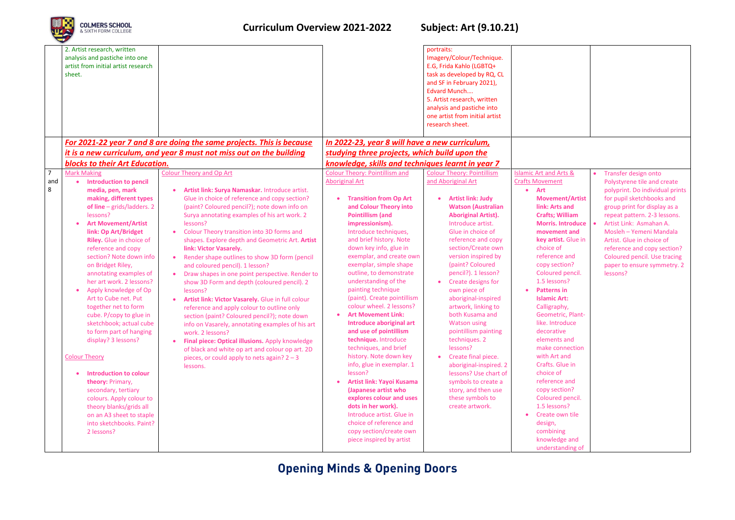

### **Curriculum Overview 2021-2022 Subject: Art (9.10.21)**

|                            | 2. Artist research, written<br>analysis and pastiche into one<br>artist from initial artist research<br>sheet.                                                                                                                                                                                                                                                                                                                                                                                                                                                                                                                                                                                                                                                          |                                                                                                                                                                                                                                                                                                                                                                                                                                                                                                                                                                                                                                                                                                                                                                                                                                                                                                                                                                           |                                                                                                                                                                                                                                                                                                                                                                                                                                                                                                                                                                                                                                                                                                                                                                                                                                                                             | portraits:<br>Imagery/Colour/Technique.<br>E.G, Frida Kahlo (LGBTQ+<br>task as developed by RQ, CL<br>and SF in February 2021),<br>Edvard Munch<br>5. Artist research, written<br>analysis and pastiche into<br>one artist from initial artist<br>research sheet.                                                                                                                                                                                                                                                                                                                                                                                        |                                                                                                                                                                                                                                                                                                                                                                                                                                                                                                                                                                                                                                                                   |                                                                                                                                                                                                                                                                                                                                                                                  |
|----------------------------|-------------------------------------------------------------------------------------------------------------------------------------------------------------------------------------------------------------------------------------------------------------------------------------------------------------------------------------------------------------------------------------------------------------------------------------------------------------------------------------------------------------------------------------------------------------------------------------------------------------------------------------------------------------------------------------------------------------------------------------------------------------------------|---------------------------------------------------------------------------------------------------------------------------------------------------------------------------------------------------------------------------------------------------------------------------------------------------------------------------------------------------------------------------------------------------------------------------------------------------------------------------------------------------------------------------------------------------------------------------------------------------------------------------------------------------------------------------------------------------------------------------------------------------------------------------------------------------------------------------------------------------------------------------------------------------------------------------------------------------------------------------|-----------------------------------------------------------------------------------------------------------------------------------------------------------------------------------------------------------------------------------------------------------------------------------------------------------------------------------------------------------------------------------------------------------------------------------------------------------------------------------------------------------------------------------------------------------------------------------------------------------------------------------------------------------------------------------------------------------------------------------------------------------------------------------------------------------------------------------------------------------------------------|----------------------------------------------------------------------------------------------------------------------------------------------------------------------------------------------------------------------------------------------------------------------------------------------------------------------------------------------------------------------------------------------------------------------------------------------------------------------------------------------------------------------------------------------------------------------------------------------------------------------------------------------------------|-------------------------------------------------------------------------------------------------------------------------------------------------------------------------------------------------------------------------------------------------------------------------------------------------------------------------------------------------------------------------------------------------------------------------------------------------------------------------------------------------------------------------------------------------------------------------------------------------------------------------------------------------------------------|----------------------------------------------------------------------------------------------------------------------------------------------------------------------------------------------------------------------------------------------------------------------------------------------------------------------------------------------------------------------------------|
|                            |                                                                                                                                                                                                                                                                                                                                                                                                                                                                                                                                                                                                                                                                                                                                                                         | For 2021-22 year 7 and 8 are doing the same projects. This is because                                                                                                                                                                                                                                                                                                                                                                                                                                                                                                                                                                                                                                                                                                                                                                                                                                                                                                     | In 2022-23, year 8 will have a new curriculum,                                                                                                                                                                                                                                                                                                                                                                                                                                                                                                                                                                                                                                                                                                                                                                                                                              |                                                                                                                                                                                                                                                                                                                                                                                                                                                                                                                                                                                                                                                          |                                                                                                                                                                                                                                                                                                                                                                                                                                                                                                                                                                                                                                                                   |                                                                                                                                                                                                                                                                                                                                                                                  |
|                            |                                                                                                                                                                                                                                                                                                                                                                                                                                                                                                                                                                                                                                                                                                                                                                         | it is a new curriculum, and year 8 must not miss out on the building                                                                                                                                                                                                                                                                                                                                                                                                                                                                                                                                                                                                                                                                                                                                                                                                                                                                                                      | studying three projects, which build upon the                                                                                                                                                                                                                                                                                                                                                                                                                                                                                                                                                                                                                                                                                                                                                                                                                               |                                                                                                                                                                                                                                                                                                                                                                                                                                                                                                                                                                                                                                                          |                                                                                                                                                                                                                                                                                                                                                                                                                                                                                                                                                                                                                                                                   |                                                                                                                                                                                                                                                                                                                                                                                  |
|                            | <b>blocks to their Art Education.</b>                                                                                                                                                                                                                                                                                                                                                                                                                                                                                                                                                                                                                                                                                                                                   |                                                                                                                                                                                                                                                                                                                                                                                                                                                                                                                                                                                                                                                                                                                                                                                                                                                                                                                                                                           | knowledge, skills and techniques learnt in year 7                                                                                                                                                                                                                                                                                                                                                                                                                                                                                                                                                                                                                                                                                                                                                                                                                           |                                                                                                                                                                                                                                                                                                                                                                                                                                                                                                                                                                                                                                                          |                                                                                                                                                                                                                                                                                                                                                                                                                                                                                                                                                                                                                                                                   |                                                                                                                                                                                                                                                                                                                                                                                  |
| $\overline{7}$<br>and<br>8 | <b>Mark Making</b><br><b>Introduction to pencil</b><br>media, pen, mark<br>making, different types<br>of line $-$ grids/ladders. 2<br>lessons?<br><b>Art Movement/Artist</b><br>link: Op Art/Bridget<br>Riley. Glue in choice of<br>reference and copy<br>section? Note down info<br>on Bridget Riley,<br>annotating examples of<br>her art work. 2 lessons?<br>Apply knowledge of Op<br>Art to Cube net. Put<br>together net to form<br>cube. P/copy to glue in<br>sketchbook; actual cube<br>to form part of hanging<br>display? 3 lessons?<br><b>Colour Theory</b><br>Introduction to colour<br>theory: Primary,<br>secondary, tertiary<br>colours. Apply colour to<br>theory blanks/grids all<br>on an A3 sheet to staple<br>into sketchbooks. Paint?<br>2 lessons? | <b>Colour Theory and Op Art</b><br>Artist link: Surya Namaskar. Introduce artist.<br>Glue in choice of reference and copy section?<br>(paint? Coloured pencil?); note down info on<br>Surya annotating examples of his art work. 2<br>lessons?<br>Colour Theory transition into 3D forms and<br>shapes. Explore depth and Geometric Art. Artist<br>link: Victor Vasarely.<br>Render shape outlines to show 3D form (pencil<br>and coloured pencil). 1 lesson?<br>Draw shapes in one point perspective. Render to<br>show 3D Form and depth (coloured pencil). 2<br>lessons?<br>Artist link: Victor Vasarely. Glue in full colour<br>reference and apply colour to outline only<br>section (paint? Coloured pencil?); note down<br>info on Vasarely, annotating examples of his art<br>work. 2 lessons?<br>Final piece: Optical illusions. Apply knowledge<br>of black and white op art and colour op art. 2D<br>pieces, or could apply to nets again? $2 - 3$<br>lessons. | <b>Colour Theory: Pointillism and</b><br><b>Aboriginal Art</b><br><b>Transition from Op Art</b><br>and Colour Theory into<br><b>Pointillism (and</b><br>impressionism).<br>Introduce techniques,<br>and brief history. Note<br>down key info, glue in<br>exemplar, and create own<br>exemplar, simple shape<br>outline, to demonstrate<br>understanding of the<br>painting technique<br>(paint). Create pointillism<br>colour wheel. 2 lessons?<br><b>Art Movement Link:</b><br>Introduce aboriginal art<br>and use of pointillism<br>technique. Introduce<br>techniques, and brief<br>history. Note down key<br>info, glue in exemplar. 1<br>lesson?<br>Artist link: Yayoi Kusama<br>(Japanese artist who<br>explores colour and uses<br>dots in her work).<br>Introduce artist. Glue in<br>choice of reference and<br>copy section/create own<br>piece inspired by artist | <b>Colour Theory: Pointillism</b><br>and Aboriginal Art<br><b>Artist link: Judy</b><br><b>Watson (Australian</b><br><b>Aboriginal Artist).</b><br>Introduce artist.<br>Glue in choice of<br>reference and copy<br>section/Create own<br>version inspired by<br>(paint? Coloured<br>pencil?). 1 lesson?<br>Create designs for<br>own piece of<br>aboriginal-inspired<br>artwork, linking to<br>both Kusama and<br><b>Watson using</b><br>pointillism painting<br>techniques. 2<br>lessons?<br>Create final piece.<br>aboriginal-inspired. 2<br>lessons? Use chart of<br>symbols to create a<br>story, and then use<br>these symbols to<br>create artwork. | <b>Islamic Art and Arts &amp;</b><br><b>Crafts Movement</b><br><b>Art</b><br><b>Movement/Artist</b><br>link: Arts and<br><b>Crafts; William</b><br><b>Morris. Introduce</b><br>movement and<br>key artist. Glue in<br>choice of<br>reference and<br>copy section?<br>Coloured pencil.<br>1.5 lessons?<br><b>Patterns in</b><br><b>Islamic Art:</b><br>Calligraphy,<br>Geometric, Plant-<br>like. Introduce<br>decorative<br>elements and<br>make connection<br>with Art and<br>Crafts. Glue in<br>choice of<br>reference and<br>copy section?<br>Coloured pencil.<br>1.5 lessons?<br>Create own tile<br>design,<br>combining<br>knowledge and<br>understanding of | Transfer design onto<br>Polystyrene tile and create<br>polyprint. Do individual prints<br>for pupil sketchbooks and<br>group print for display as a<br>repeat pattern. 2-3 lessons.<br>Artist Link: Asmahan A.<br>Mosleh - Yemeni Mandala<br>Artist. Glue in choice of<br>reference and copy section?<br>Coloured pencil. Use tracing<br>paper to ensure symmetry. 2<br>lessons? |